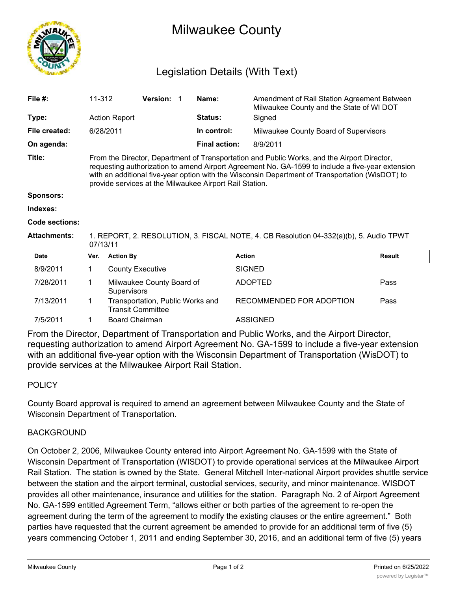

# Milwaukee County

# Legislation Details (With Text)

| File $#$ :          | 11-312                                                                                                                                                                                                                                                                                                                                                        | <b>Version:</b> |  | Name:                | Amendment of Rail Station Agreement Between<br>Milwaukee County and the State of WI DOT |  |  |
|---------------------|---------------------------------------------------------------------------------------------------------------------------------------------------------------------------------------------------------------------------------------------------------------------------------------------------------------------------------------------------------------|-----------------|--|----------------------|-----------------------------------------------------------------------------------------|--|--|
| Type:               | <b>Action Report</b>                                                                                                                                                                                                                                                                                                                                          |                 |  | <b>Status:</b>       | Signed                                                                                  |  |  |
| File created:       | 6/28/2011                                                                                                                                                                                                                                                                                                                                                     |                 |  | In control:          | Milwaukee County Board of Supervisors                                                   |  |  |
| On agenda:          |                                                                                                                                                                                                                                                                                                                                                               |                 |  | <b>Final action:</b> | 8/9/2011                                                                                |  |  |
| Title:              | From the Director, Department of Transportation and Public Works, and the Airport Director,<br>requesting authorization to amend Airport Agreement No. GA-1599 to include a five-year extension<br>with an additional five-year option with the Wisconsin Department of Transportation (WisDOT) to<br>provide services at the Milwaukee Airport Rail Station. |                 |  |                      |                                                                                         |  |  |
| <b>Sponsors:</b>    |                                                                                                                                                                                                                                                                                                                                                               |                 |  |                      |                                                                                         |  |  |
| Indexes:            |                                                                                                                                                                                                                                                                                                                                                               |                 |  |                      |                                                                                         |  |  |
| Code sections:      |                                                                                                                                                                                                                                                                                                                                                               |                 |  |                      |                                                                                         |  |  |
| <b>Attachments:</b> | 1. REPORT, 2. RESOLUTION, 3. FISCAL NOTE, 4. CB Resolution 04-332(a)(b), 5. Audio TPWT                                                                                                                                                                                                                                                                        |                 |  |                      |                                                                                         |  |  |

| Date      | Ver. | <b>Action By</b>                                             | <b>Action</b>            | Result |  |  |  |  |
|-----------|------|--------------------------------------------------------------|--------------------------|--------|--|--|--|--|
| 8/9/2011  |      | <b>County Executive</b>                                      | <b>SIGNED</b>            |        |  |  |  |  |
| 7/28/2011 |      | Milwaukee County Board of<br>Supervisors                     | ADOPTED                  | Pass   |  |  |  |  |
| 7/13/2011 |      | Transportation, Public Works and<br><b>Transit Committee</b> | RECOMMENDED FOR ADOPTION | Pass   |  |  |  |  |
| 7/5/2011  |      | <b>Board Chairman</b>                                        | <b>ASSIGNED</b>          |        |  |  |  |  |

From the Director, Department of Transportation and Public Works, and the Airport Director, requesting authorization to amend Airport Agreement No. GA-1599 to include a five-year extension with an additional five-year option with the Wisconsin Department of Transportation (WisDOT) to provide services at the Milwaukee Airport Rail Station.

# POLICY

County Board approval is required to amend an agreement between Milwaukee County and the State of Wisconsin Department of Transportation.

# BACKGROUND

07/13/11

On October 2, 2006, Milwaukee County entered into Airport Agreement No. GA-1599 with the State of Wisconsin Department of Transportation (WISDOT) to provide operational services at the Milwaukee Airport Rail Station. The station is owned by the State. General Mitchell Inter-national Airport provides shuttle service between the station and the airport terminal, custodial services, security, and minor maintenance. WISDOT provides all other maintenance, insurance and utilities for the station. Paragraph No. 2 of Airport Agreement No. GA-1599 entitled Agreement Term, "allows either or both parties of the agreement to re-open the agreement during the term of the agreement to modify the existing clauses or the entire agreement." Both parties have requested that the current agreement be amended to provide for an additional term of five (5) years commencing October 1, 2011 and ending September 30, 2016, and an additional term of five (5) years